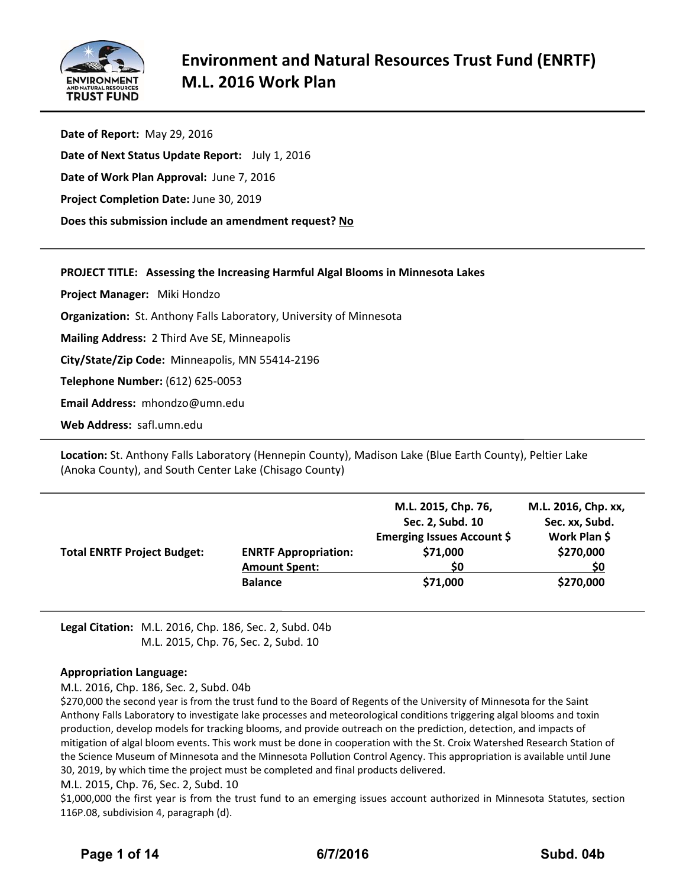

| Date of Report: May 29, 2016                          |
|-------------------------------------------------------|
| Date of Next Status Update Report: July 1, 2016       |
| Date of Work Plan Approval: June 7, 2016              |
| <b>Project Completion Date: June 30, 2019</b>         |
| Does this submission include an amendment request? No |
|                                                       |

## **PROJECT TITLE: Assessing the Increasing Harmful Algal Blooms in Minnesota Lakes**

**Project Manager:**  Miki Hondzo

**Organization:** St. Anthony Falls Laboratory, University of Minnesota

**Mailing Address:** 2 Third Ave SE, Minneapolis

**City/State/Zip Code:** Minneapolis, MN 55414‐2196

**Telephone Number:** (612) 625‐0053

**Email Address:** mhondzo@umn.edu

**Web Address:** safl.umn.edu

**Location:** St. Anthony Falls Laboratory (Hennepin County), Madison Lake (Blue Earth County), Peltier Lake (Anoka County), and South Center Lake (Chisago County)

| <b>Total ENRTF Project Budget:</b> | <b>ENRTF Appropriation:</b><br><b>Amount Spent:</b> | M.L. 2015, Chp. 76,<br>Sec. 2, Subd. 10<br>Emerging Issues Account \$<br>\$71,000<br>\$0 | M.L. 2016, Chp. xx,<br>Sec. xx, Subd.<br>Work Plan \$<br>\$270,000<br>\$0 |
|------------------------------------|-----------------------------------------------------|------------------------------------------------------------------------------------------|---------------------------------------------------------------------------|
|                                    | <b>Balance</b>                                      | \$71,000                                                                                 | \$270,000                                                                 |

**Legal Citation:** M.L. 2016, Chp. 186, Sec. 2, Subd. 04b M.L. 2015, Chp. 76, Sec. 2, Subd. 10

## **Appropriation Language:**

M.L. 2016, Chp. 186, Sec. 2, Subd. 04b

\$270,000 the second year is from the trust fund to the Board of Regents of the University of Minnesota for the Saint Anthony Falls Laboratory to investigate lake processes and meteorological conditions triggering algal blooms and toxin production, develop models for tracking blooms, and provide outreach on the prediction, detection, and impacts of mitigation of algal bloom events. This work must be done in cooperation with the St. Croix Watershed Research Station of the Science Museum of Minnesota and the Minnesota Pollution Control Agency. This appropriation is available until June 30, 2019, by which time the project must be completed and final products delivered.

#### M.L. 2015, Chp. 76, Sec. 2, Subd. 10

\$1,000,000 the first year is from the trust fund to an emerging issues account authorized in Minnesota Statutes, section 116P.08, subdivision 4, paragraph (d).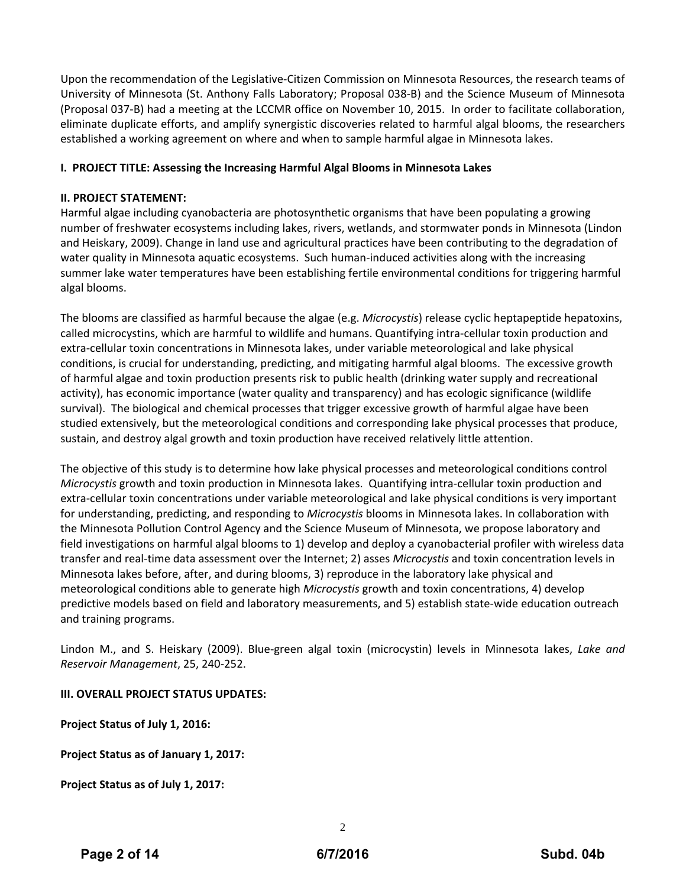Upon the recommendation of the Legislative‐Citizen Commission on Minnesota Resources, the research teams of University of Minnesota (St. Anthony Falls Laboratory; Proposal 038‐B) and the Science Museum of Minnesota (Proposal 037‐B) had a meeting at the LCCMR office on November 10, 2015. In order to facilitate collaboration, eliminate duplicate efforts, and amplify synergistic discoveries related to harmful algal blooms, the researchers established a working agreement on where and when to sample harmful algae in Minnesota lakes.

## **I. PROJECT TITLE: Assessing the Increasing Harmful Algal Blooms in Minnesota Lakes**

## **II. PROJECT STATEMENT:**

Harmful algae including cyanobacteria are photosynthetic organisms that have been populating a growing number of freshwater ecosystems including lakes, rivers, wetlands, and stormwater ponds in Minnesota (Lindon and Heiskary, 2009). Change in land use and agricultural practices have been contributing to the degradation of water quality in Minnesota aquatic ecosystems. Such human-induced activities along with the increasing summer lake water temperatures have been establishing fertile environmental conditions for triggering harmful algal blooms.

The blooms are classified as harmful because the algae (e.g. *Microcystis*) release cyclic heptapeptide hepatoxins, called microcystins, which are harmful to wildlife and humans. Quantifying intra‐cellular toxin production and extra‐cellular toxin concentrations in Minnesota lakes, under variable meteorological and lake physical conditions, is crucial for understanding, predicting, and mitigating harmful algal blooms. The excessive growth of harmful algae and toxin production presents risk to public health (drinking water supply and recreational activity), has economic importance (water quality and transparency) and has ecologic significance (wildlife survival). The biological and chemical processes that trigger excessive growth of harmful algae have been studied extensively, but the meteorological conditions and corresponding lake physical processes that produce, sustain, and destroy algal growth and toxin production have received relatively little attention.

The objective of this study is to determine how lake physical processes and meteorological conditions control *Microcystis* growth and toxin production in Minnesota lakes. Quantifying intra‐cellular toxin production and extra-cellular toxin concentrations under variable meteorological and lake physical conditions is very important for understanding, predicting, and responding to *Microcystis* blooms in Minnesota lakes. In collaboration with the Minnesota Pollution Control Agency and the Science Museum of Minnesota, we propose laboratory and field investigations on harmful algal blooms to 1) develop and deploy a cyanobacterial profiler with wireless data transfer and real‐time data assessment over the Internet; 2) asses *Microcystis* and toxin concentration levels in Minnesota lakes before, after, and during blooms, 3) reproduce in the laboratory lake physical and meteorological conditions able to generate high *Microcystis* growth and toxin concentrations, 4) develop predictive models based on field and laboratory measurements, and 5) establish state‐wide education outreach and training programs.

Lindon M., and S. Heiskary (2009). Blue‐green algal toxin (microcystin) levels in Minnesota lakes, *Lake and Reservoir Management*, 25, 240‐252.

## **III. OVERALL PROJECT STATUS UPDATES:**

**Project Status of July 1, 2016:**

**Project Status as of January 1, 2017:**

**Project Status as of July 1, 2017:**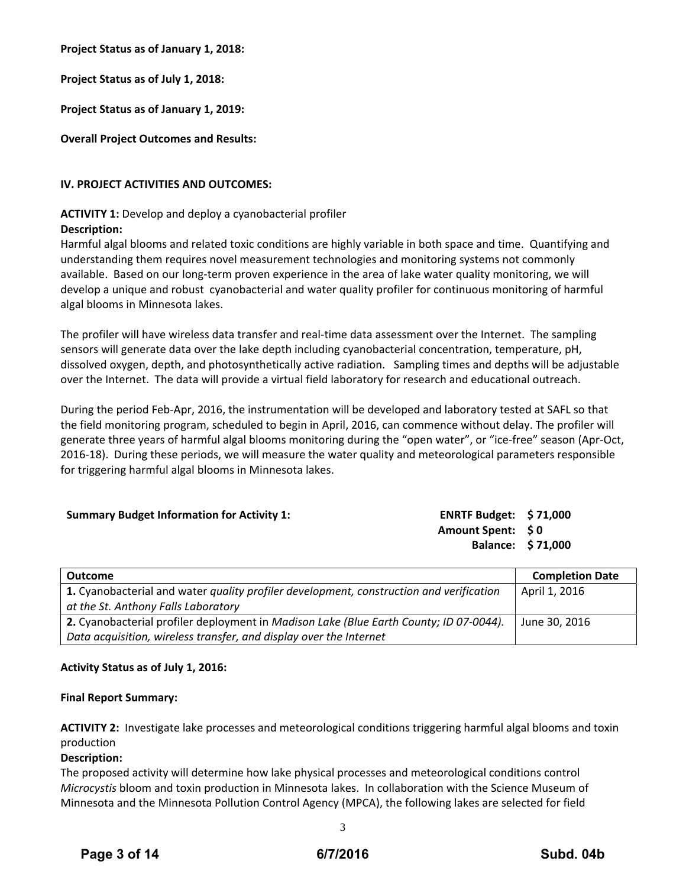**Project Status as of January 1, 2018:**

**Project Status as of July 1, 2018:**

**Project Status as of January 1, 2019:**

**Overall Project Outcomes and Results:**

## **IV. PROJECT ACTIVITIES AND OUTCOMES:**

## **ACTIVITY 1:** Develop and deploy a cyanobacterial profiler

## **Description:**

Harmful algal blooms and related toxic conditions are highly variable in both space and time. Quantifying and understanding them requires novel measurement technologies and monitoring systems not commonly available. Based on our long‐term proven experience in the area of lake water quality monitoring, we will develop a unique and robust cyanobacterial and water quality profiler for continuous monitoring of harmful algal blooms in Minnesota lakes.

The profiler will have wireless data transfer and real‐time data assessment over the Internet. The sampling sensors will generate data over the lake depth including cyanobacterial concentration, temperature, pH, dissolved oxygen, depth, and photosynthetically active radiation. Sampling times and depths will be adjustable over the Internet. The data will provide a virtual field laboratory for research and educational outreach.

During the period Feb‐Apr, 2016, the instrumentation will be developed and laboratory tested at SAFL so that the field monitoring program, scheduled to begin in April, 2016, can commence without delay. The profiler will generate three years of harmful algal blooms monitoring during the "open water", or "ice-free" season (Apr-Oct, 2016‐18). During these periods, we will measure the water quality and meteorological parameters responsible for triggering harmful algal blooms in Minnesota lakes.

| <b>Summary Budget Information for Activity 1:</b> | ENRTF Budget: $$71,000$  |  |
|---------------------------------------------------|--------------------------|--|
|                                                   | Amount Spent: \$0        |  |
|                                                   | <b>Balance: \$71,000</b> |  |

| <b>Outcome</b>                                                                          | <b>Completion Date</b> |
|-----------------------------------------------------------------------------------------|------------------------|
| 1. Cyanobacterial and water quality profiler development, construction and verification | April 1, 2016          |
| at the St. Anthony Falls Laboratory                                                     |                        |
| 2. Cyanobacterial profiler deployment in Madison Lake (Blue Earth County; ID 07-0044).  | June 30, 2016          |
| Data acquisition, wireless transfer, and display over the Internet                      |                        |

## **Activity Status as of July 1, 2016:**

#### **Final Report Summary:**

**ACTIVITY 2:** Investigate lake processes and meteorological conditions triggering harmful algal blooms and toxin production

#### **Description:**

The proposed activity will determine how lake physical processes and meteorological conditions control *Microcystis* bloom and toxin production in Minnesota lakes. In collaboration with the Science Museum of Minnesota and the Minnesota Pollution Control Agency (MPCA), the following lakes are selected for field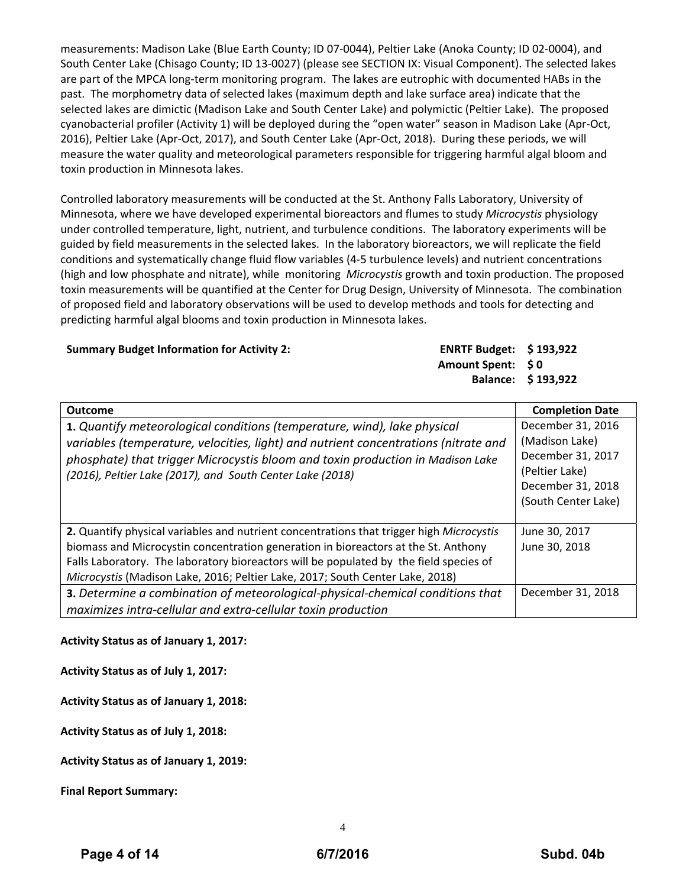measurements: Madison Lake (Blue Earth County; ID 07‐0044), Peltier Lake (Anoka County; ID 02‐0004), and South Center Lake (Chisago County; ID 13‐0027) (please see SECTION IX: Visual Component). The selected lakes are part of the MPCA long‐term monitoring program. The lakes are eutrophic with documented HABs in the past. The morphometry data of selected lakes (maximum depth and lake surface area) indicate that the selected lakes are dimictic (Madison Lake and South Center Lake) and polymictic (Peltier Lake). The proposed cyanobacterial profiler (Activity 1) will be deployed during the "open water" season in Madison Lake (Apr‐Oct, 2016), Peltier Lake (Apr‐Oct, 2017), and South Center Lake (Apr‐Oct, 2018). During these periods, we will measure the water quality and meteorological parameters responsible for triggering harmful algal bloom and toxin production in Minnesota lakes.

Controlled laboratory measurements will be conducted at the St. Anthony Falls Laboratory, University of Minnesota, where we have developed experimental bioreactors and flumes to study *Microcystis* physiology under controlled temperature, light, nutrient, and turbulence conditions. The laboratory experiments will be guided by field measurements in the selected lakes. In the laboratory bioreactors, we will replicate the field conditions and systematically change fluid flow variables (4‐5 turbulence levels) and nutrient concentrations (high and low phosphate and nitrate), while monitoring *Microcystis* growth and toxin production. The proposed toxin measurements will be quantified at the Center for Drug Design, University of Minnesota. The combination of proposed field and laboratory observations will be used to develop methods and tools for detecting and predicting harmful algal blooms and toxin production in Minnesota lakes.

**Summary Budget Information for Activity 2:** 

| <b>ENRTF Budget: \$193,922</b> |                    |
|--------------------------------|--------------------|
| Amount Spent: \$0              |                    |
|                                | Balance: \$193,922 |

| <b>Outcome</b>                                                                                                                                                                                                                                                                                                                                            | <b>Completion Date</b>                                                                                                 |
|-----------------------------------------------------------------------------------------------------------------------------------------------------------------------------------------------------------------------------------------------------------------------------------------------------------------------------------------------------------|------------------------------------------------------------------------------------------------------------------------|
| 1. Quantify meteorological conditions (temperature, wind), lake physical<br>variables (temperature, velocities, light) and nutrient concentrations (nitrate and<br>phosphate) that trigger Microcystis bloom and toxin production in Madison Lake<br>(2016), Peltier Lake (2017), and South Center Lake (2018)                                            | December 31, 2016<br>(Madison Lake)<br>December 31, 2017<br>(Peltier Lake)<br>December 31, 2018<br>(South Center Lake) |
| 2. Quantify physical variables and nutrient concentrations that trigger high Microcystis<br>biomass and Microcystin concentration generation in bioreactors at the St. Anthony<br>Falls Laboratory. The laboratory bioreactors will be populated by the field species of<br>Microcystis (Madison Lake, 2016; Peltier Lake, 2017; South Center Lake, 2018) | June 30, 2017<br>June 30, 2018                                                                                         |
| 3. Determine a combination of meteorological-physical-chemical conditions that<br>maximizes intra-cellular and extra-cellular toxin production                                                                                                                                                                                                            | December 31, 2018                                                                                                      |

# **Activity Status as of January 1, 2017:**

**Activity Status as of July 1, 2017:**

**Activity Status as of January 1, 2018:**

**Activity Status as of July 1, 2018:**

## **Activity Status as of January 1, 2019:**

**Final Report Summary:**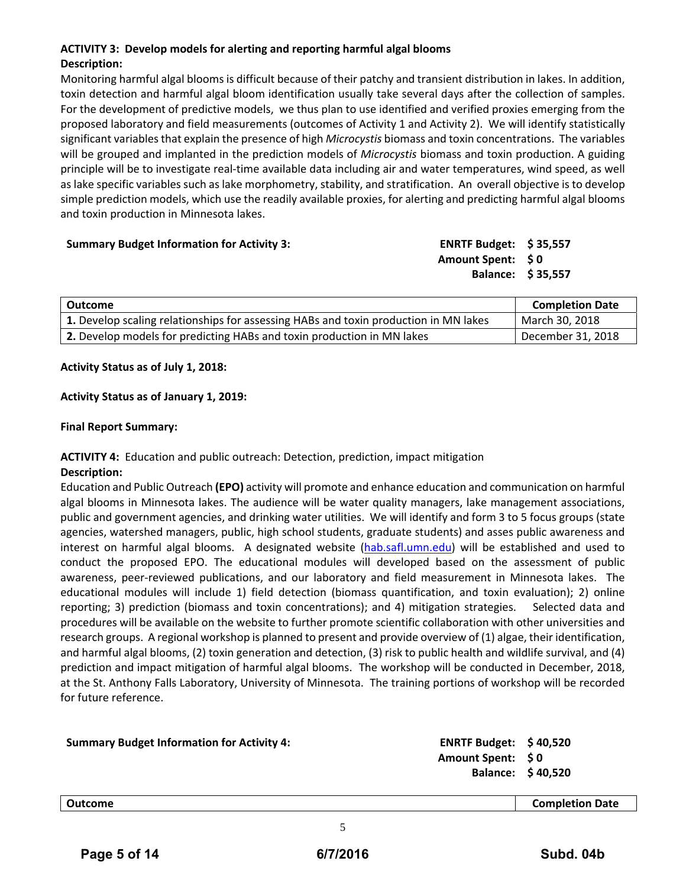## **ACTIVITY 3: Develop models for alerting and reporting harmful algal blooms Description:**

Monitoring harmful algal blooms is difficult because of their patchy and transient distribution in lakes. In addition, toxin detection and harmful algal bloom identification usually take several days after the collection of samples. For the development of predictive models, we thus plan to use identified and verified proxies emerging from the proposed laboratory and field measurements (outcomes of Activity 1 and Activity 2). We will identify statistically significant variablesthat explain the presence of high *Microcystis* biomass and toxin concentrations. The variables will be grouped and implanted in the prediction models of *Microcystis* biomass and toxin production. A guiding principle will be to investigate real‐time available data including air and water temperatures, wind speed, as well as lake specific variables such as lake morphometry, stability, and stratification. An overall objective is to develop simple prediction models, which use the readily available proxies, for alerting and predicting harmful algal blooms and toxin production in Minnesota lakes.

| <b>Summary Budget Information for Activity 3:</b> | ENRTF Budget: $$35,557$  |  |
|---------------------------------------------------|--------------------------|--|
|                                                   | Amount Spent: \$0        |  |
|                                                   | <b>Balance: \$35,557</b> |  |
|                                                   |                          |  |

| Outcome                                                                              | <b>Completion Date</b> |
|--------------------------------------------------------------------------------------|------------------------|
| 1. Develop scaling relationships for assessing HABs and toxin production in MN lakes | March 30, 2018         |
| 2. Develop models for predicting HABs and toxin production in MN lakes               | December 31, 2018      |

## **Activity Status as of July 1, 2018:**

## **Activity Status as of January 1, 2019:**

## **Final Report Summary:**

## **ACTIVITY 4:** Education and public outreach: Detection, prediction, impact mitigation **Description:**

Education and Public Outreach **(EPO)** activity will promote and enhance education and communication on harmful algal blooms in Minnesota lakes. The audience will be water quality managers, lake management associations, public and government agencies, and drinking water utilities. We will identify and form 3 to 5 focus groups (state agencies, watershed managers, public, high school students, graduate students) and asses public awareness and interest on harmful algal blooms. A designated website (hab.safl.umn.edu) will be established and used to conduct the proposed EPO. The educational modules will developed based on the assessment of public awareness, peer-reviewed publications, and our laboratory and field measurement in Minnesota lakes. The educational modules will include 1) field detection (biomass quantification, and toxin evaluation); 2) online reporting; 3) prediction (biomass and toxin concentrations); and 4) mitigation strategies. Selected data and procedures will be available on the website to further promote scientific collaboration with other universities and research groups. A regional workshop is planned to present and provide overview of (1) algae, their identification, and harmful algal blooms, (2) toxin generation and detection, (3) risk to public health and wildlife survival, and (4) prediction and impact mitigation of harmful algal blooms. The workshop will be conducted in December, 2018, at the St. Anthony Falls Laboratory, University of Minnesota. The training portions of workshop will be recorded for future reference.

| <b>Summary Budget Information for Activity 4:</b> | ENRTF Budget: $$40,520$<br>Amount Spent: \$0 | Balance: \$40,520      |
|---------------------------------------------------|----------------------------------------------|------------------------|
| Outcome                                           |                                              | <b>Completion Date</b> |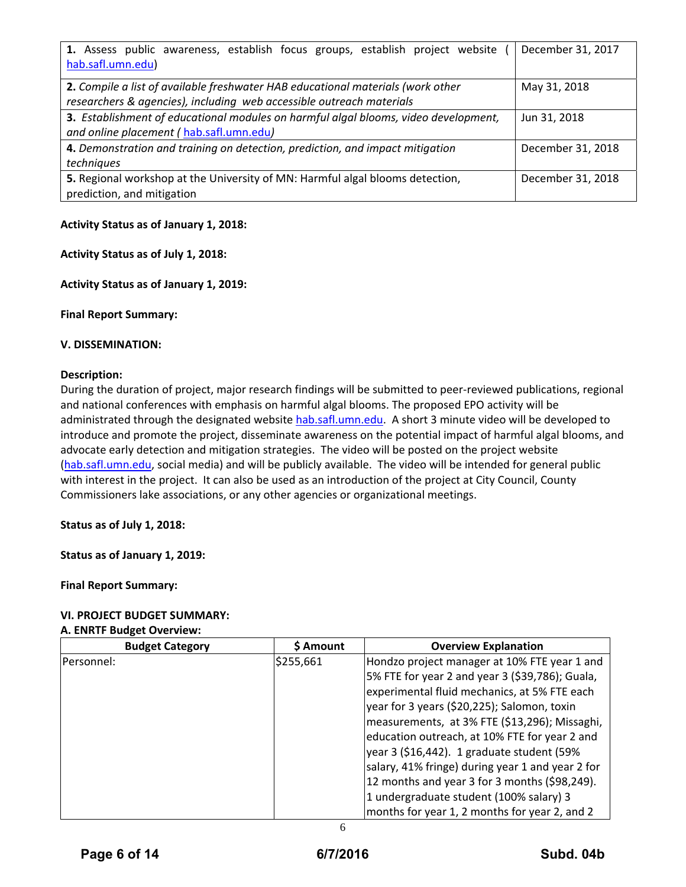| 1. Assess public awareness, establish focus groups, establish project website       | December 31, 2017 |  |
|-------------------------------------------------------------------------------------|-------------------|--|
| hab.safl.umn.edu)                                                                   |                   |  |
| 2. Compile a list of available freshwater HAB educational materials (work other     | May 31, 2018      |  |
| researchers & agencies), including web accessible outreach materials                |                   |  |
| 3. Establishment of educational modules on harmful algal blooms, video development, | Jun 31, 2018      |  |
| and online placement (hab.safl.umn.edu)                                             |                   |  |
| 4. Demonstration and training on detection, prediction, and impact mitigation       | December 31, 2018 |  |
| techniques                                                                          |                   |  |
| 5. Regional workshop at the University of MN: Harmful algal blooms detection,       | December 31, 2018 |  |
| prediction, and mitigation                                                          |                   |  |

## **Activity Status as of January 1, 2018:**

## **Activity Status as of July 1, 2018:**

## **Activity Status as of January 1, 2019:**

**Final Report Summary:**

## **V. DISSEMINATION:**

#### **Description:**

During the duration of project, major research findings will be submitted to peer‐reviewed publications, regional and national conferences with emphasis on harmful algal blooms. The proposed EPO activity will be administrated through the designated website hab.safl.umn.edu. A short 3 minute video will be developed to introduce and promote the project, disseminate awareness on the potential impact of harmful algal blooms, and advocate early detection and mitigation strategies. The video will be posted on the project website (hab.safl.umn.edu, social media) and will be publicly available. The video will be intended for general public with interest in the project. It can also be used as an introduction of the project at City Council, County Commissioners lake associations, or any other agencies or organizational meetings.

#### **Status as of July 1, 2018:**

**Status as of January 1, 2019:**

**Final Report Summary:**

## **VI. PROJECT BUDGET SUMMARY:** **A. ENRTF Budget Overview:**

| <b>Budget Category</b> | \$ Amount | <b>Overview Explanation</b>                      |
|------------------------|-----------|--------------------------------------------------|
| Personnel:             | \$255,661 | Hondzo project manager at 10% FTE year 1 and     |
|                        |           | 5% FTE for year 2 and year 3 (\$39,786); Guala,  |
|                        |           | experimental fluid mechanics, at 5% FTE each     |
|                        |           | year for 3 years (\$20,225); Salomon, toxin      |
|                        |           | measurements, at 3% FTE (\$13,296); Missaghi,    |
|                        |           | education outreach, at 10% FTE for year 2 and    |
|                        |           | year 3 (\$16,442). 1 graduate student (59%)      |
|                        |           | salary, 41% fringe) during year 1 and year 2 for |
|                        |           | 12 months and year 3 for 3 months (\$98,249).    |
|                        |           | 1 undergraduate student (100% salary) 3          |
|                        |           | months for year 1, 2 months for year 2, and 2    |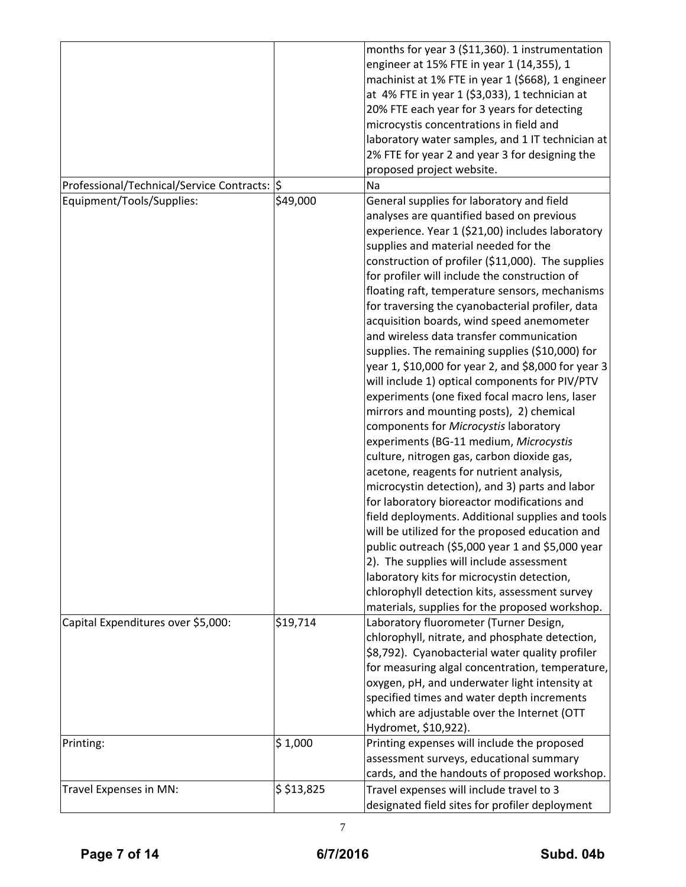|                                               |            | months for year 3 (\$11,360). 1 instrumentation<br>engineer at 15% FTE in year 1 (14,355), 1<br>machinist at 1% FTE in year 1 (\$668), 1 engineer<br>at 4% FTE in year 1 (\$3,033), 1 technician at<br>20% FTE each year for 3 years for detecting<br>microcystis concentrations in field and<br>laboratory water samples, and 1 IT technician at<br>2% FTE for year 2 and year 3 for designing the<br>proposed project website.                                                                                                                                                                                                                                                                                                                                                                                                                                                                                                                                                                                                                                                                                                                                                                                                                                                                                                      |
|-----------------------------------------------|------------|---------------------------------------------------------------------------------------------------------------------------------------------------------------------------------------------------------------------------------------------------------------------------------------------------------------------------------------------------------------------------------------------------------------------------------------------------------------------------------------------------------------------------------------------------------------------------------------------------------------------------------------------------------------------------------------------------------------------------------------------------------------------------------------------------------------------------------------------------------------------------------------------------------------------------------------------------------------------------------------------------------------------------------------------------------------------------------------------------------------------------------------------------------------------------------------------------------------------------------------------------------------------------------------------------------------------------------------|
| Professional/Technical/Service Contracts:  \$ |            | Na                                                                                                                                                                                                                                                                                                                                                                                                                                                                                                                                                                                                                                                                                                                                                                                                                                                                                                                                                                                                                                                                                                                                                                                                                                                                                                                                    |
| Equipment/Tools/Supplies:                     | \$49,000   | General supplies for laboratory and field<br>analyses are quantified based on previous<br>experience. Year 1 (\$21,00) includes laboratory<br>supplies and material needed for the<br>construction of profiler (\$11,000). The supplies<br>for profiler will include the construction of<br>floating raft, temperature sensors, mechanisms<br>for traversing the cyanobacterial profiler, data<br>acquisition boards, wind speed anemometer<br>and wireless data transfer communication<br>supplies. The remaining supplies (\$10,000) for<br>year 1, \$10,000 for year 2, and \$8,000 for year 3<br>will include 1) optical components for PIV/PTV<br>experiments (one fixed focal macro lens, laser<br>mirrors and mounting posts), 2) chemical<br>components for Microcystis laboratory<br>experiments (BG-11 medium, Microcystis<br>culture, nitrogen gas, carbon dioxide gas,<br>acetone, reagents for nutrient analysis,<br>microcystin detection), and 3) parts and labor<br>for laboratory bioreactor modifications and<br>field deployments. Additional supplies and tools<br>will be utilized for the proposed education and<br>public outreach (\$5,000 year 1 and \$5,000 year<br>2). The supplies will include assessment<br>laboratory kits for microcystin detection,<br>chlorophyll detection kits, assessment survey |
| Capital Expenditures over \$5,000:            | \$19,714   | materials, supplies for the proposed workshop.<br>Laboratory fluorometer (Turner Design,<br>chlorophyll, nitrate, and phosphate detection,<br>\$8,792). Cyanobacterial water quality profiler<br>for measuring algal concentration, temperature,<br>oxygen, pH, and underwater light intensity at<br>specified times and water depth increments<br>which are adjustable over the Internet (OTT<br>Hydromet, \$10,922).                                                                                                                                                                                                                                                                                                                                                                                                                                                                                                                                                                                                                                                                                                                                                                                                                                                                                                                |
| Printing:                                     | \$1,000    | Printing expenses will include the proposed<br>assessment surveys, educational summary<br>cards, and the handouts of proposed workshop.                                                                                                                                                                                                                                                                                                                                                                                                                                                                                                                                                                                                                                                                                                                                                                                                                                                                                                                                                                                                                                                                                                                                                                                               |
| Travel Expenses in MN:                        | \$ 513,825 | Travel expenses will include travel to 3                                                                                                                                                                                                                                                                                                                                                                                                                                                                                                                                                                                                                                                                                                                                                                                                                                                                                                                                                                                                                                                                                                                                                                                                                                                                                              |
|                                               |            | designated field sites for profiler deployment                                                                                                                                                                                                                                                                                                                                                                                                                                                                                                                                                                                                                                                                                                                                                                                                                                                                                                                                                                                                                                                                                                                                                                                                                                                                                        |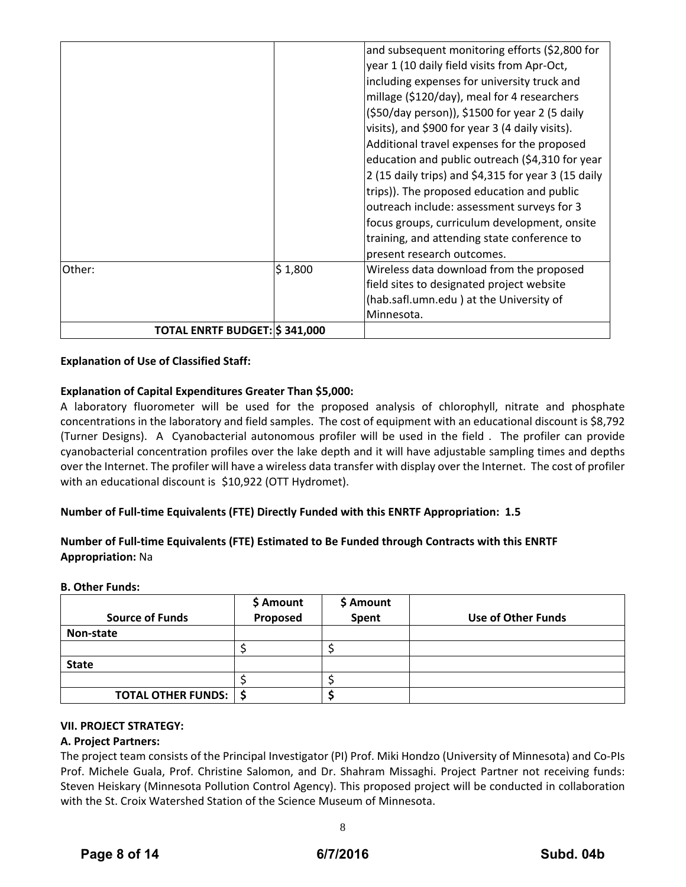|                               |         | and subsequent monitoring efforts (\$2,800 for<br>year 1 (10 daily field visits from Apr-Oct,<br>including expenses for university truck and<br>millage (\$120/day), meal for 4 researchers<br>(\$50/day person)), \$1500 for year 2 (5 daily                                                                                                                                                                                     |
|-------------------------------|---------|-----------------------------------------------------------------------------------------------------------------------------------------------------------------------------------------------------------------------------------------------------------------------------------------------------------------------------------------------------------------------------------------------------------------------------------|
|                               |         | visits), and \$900 for year 3 (4 daily visits).<br>Additional travel expenses for the proposed<br>education and public outreach (\$4,310 for year<br>2 (15 daily trips) and \$4,315 for year 3 (15 daily<br>trips)). The proposed education and public<br>outreach include: assessment surveys for 3<br>focus groups, curriculum development, onsite<br>training, and attending state conference to<br>present research outcomes. |
| Other:                        | \$1,800 | Wireless data download from the proposed<br>field sites to designated project website<br>(hab.safl.umn.edu) at the University of<br>Minnesota.                                                                                                                                                                                                                                                                                    |
| TOTAL ENRTF BUDGET: \$341,000 |         |                                                                                                                                                                                                                                                                                                                                                                                                                                   |

## **Explanation of Use of Classified Staff:**

## **Explanation of Capital Expenditures Greater Than \$5,000:**

A laboratory fluorometer will be used for the proposed analysis of chlorophyll, nitrate and phosphate concentrations in the laboratory and field samples. The cost of equipment with an educational discount is \$8,792 (Turner Designs). A Cyanobacterial autonomous profiler will be used in the field . The profiler can provide cyanobacterial concentration profiles over the lake depth and it will have adjustable sampling times and depths over the Internet. The profiler will have a wireless data transfer with display over the Internet. The cost of profiler with an educational discount is \$10,922 (OTT Hydromet).

## **Number of Full‐time Equivalents (FTE) Directly Funded with this ENRTF Appropriation: 1.5**

## **Number of Full‐time Equivalents (FTE) Estimated to Be Funded through Contracts with this ENRTF Appropriation:** Na

## **B. Other Funds:**

|                           | \$ Amount<br>Proposed | \$ Amount |                    |
|---------------------------|-----------------------|-----------|--------------------|
| <b>Source of Funds</b>    |                       | Spent     | Use of Other Funds |
| Non-state                 |                       |           |                    |
|                           |                       |           |                    |
| <b>State</b>              |                       |           |                    |
|                           |                       |           |                    |
| <b>TOTAL OTHER FUNDS:</b> |                       |           |                    |

## **VII. PROJECT STRATEGY:**

#### **A. Project Partners:**

The project team consists of the Principal Investigator (PI) Prof. Miki Hondzo (University of Minnesota) and Co‐PIs Prof. Michele Guala, Prof. Christine Salomon, and Dr. Shahram Missaghi. Project Partner not receiving funds: Steven Heiskary (Minnesota Pollution Control Agency). This proposed project will be conducted in collaboration with the St. Croix Watershed Station of the Science Museum of Minnesota.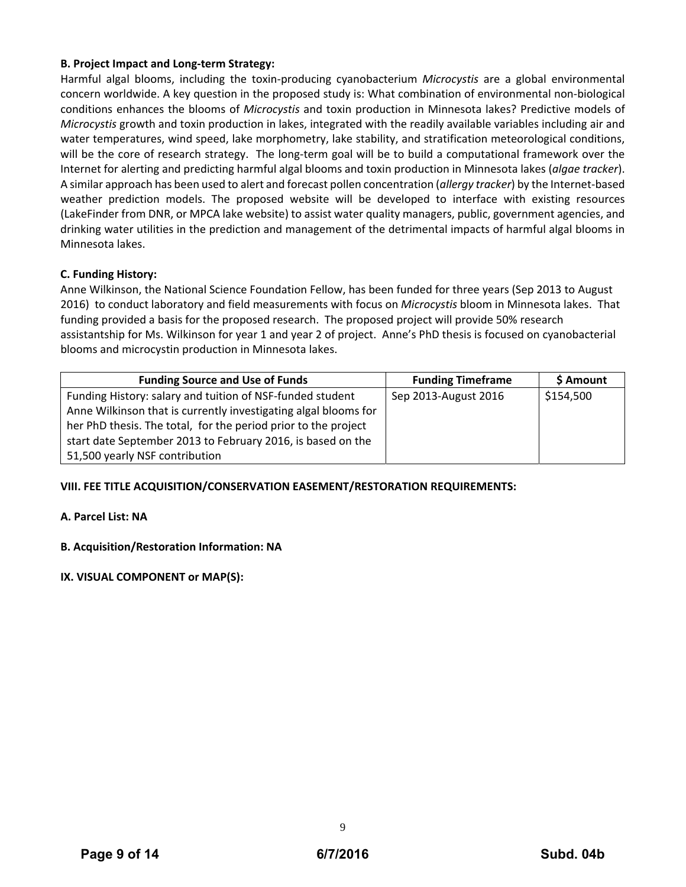## **B. Project Impact and Long‐term Strategy:**

Harmful algal blooms, including the toxin‐producing cyanobacterium *Microcystis* are a global environmental concern worldwide. A key question in the proposed study is: What combination of environmental non‐biological conditions enhances the blooms of *Microcystis* and toxin production in Minnesota lakes? Predictive models of *Microcystis* growth and toxin production in lakes, integrated with the readily available variables including air and water temperatures, wind speed, lake morphometry, lake stability, and stratification meteorological conditions, will be the core of research strategy. The long-term goal will be to build a computational framework over the Internet for alerting and predicting harmful algal blooms and toxin production in Minnesota lakes (*algae tracker*). A similar approach has been used to alert and forecast pollen concentration (*allergy tracker*) by the Internet‐based weather prediction models. The proposed website will be developed to interface with existing resources (LakeFinder from DNR, or MPCA lake website) to assist water quality managers, public, government agencies, and drinking water utilities in the prediction and management of the detrimental impacts of harmful algal blooms in Minnesota lakes.

## **C. Funding History:**

Anne Wilkinson, the National Science Foundation Fellow, has been funded for three years (Sep 2013 to August 2016) to conduct laboratory and field measurements with focus on *Microcystis* bloom in Minnesota lakes. That funding provided a basis for the proposed research. The proposed project will provide 50% research assistantship for Ms. Wilkinson for year 1 and year 2 of project. Anne's PhD thesis is focused on cyanobacterial blooms and microcystin production in Minnesota lakes.

| <b>Funding Source and Use of Funds</b>                          | <b>Funding Timeframe</b> | \$ Amount |
|-----------------------------------------------------------------|--------------------------|-----------|
| Funding History: salary and tuition of NSF-funded student       | Sep 2013-August 2016     | \$154,500 |
| Anne Wilkinson that is currently investigating algal blooms for |                          |           |
| her PhD thesis. The total, for the period prior to the project  |                          |           |
| start date September 2013 to February 2016, is based on the     |                          |           |
| 51,500 yearly NSF contribution                                  |                          |           |

## **VIII. FEE TITLE ACQUISITION/CONSERVATION EASEMENT/RESTORATION REQUIREMENTS:**

## **A. Parcel List: NA**

## **B. Acquisition/Restoration Information: NA**

## **IX. VISUAL COMPONENT or MAP(S):**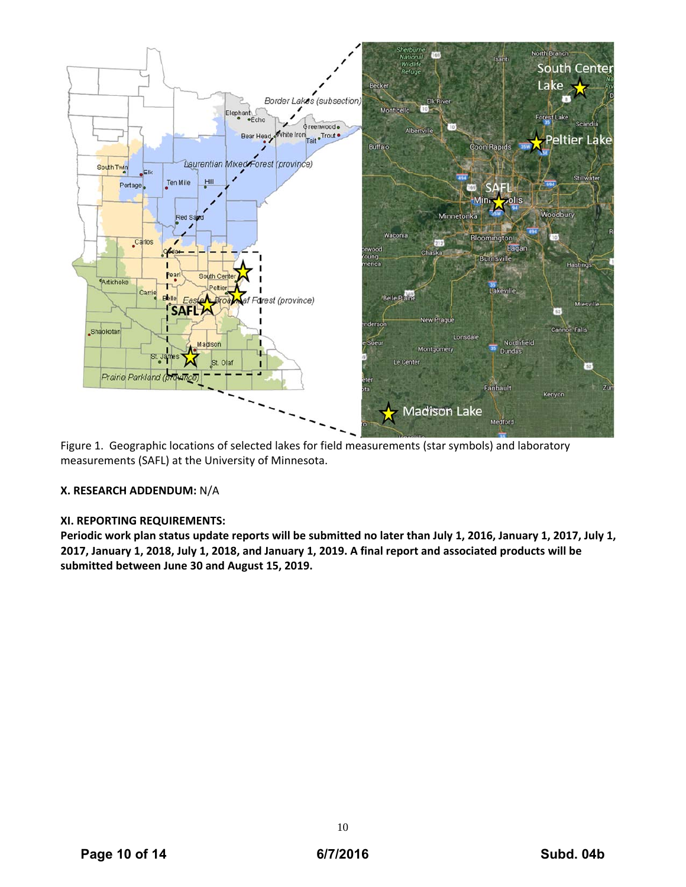

Figure 1. Geographic locations of selected lakes for field measurements (star symbols) and laboratory measurements (SAFL) at the University of Minnesota.

## **X. RESEARCH ADDENDUM:** N/A

#### **XI. REPORTING REQUIREMENTS:**

Periodic work plan status update reports will be submitted no later than July 1, 2016, January 1, 2017, July 1, 2017, January 1, 2018, July 1, 2018, and January 1, 2019. A final report and associated products will be **submitted between June 30 and August 15, 2019.**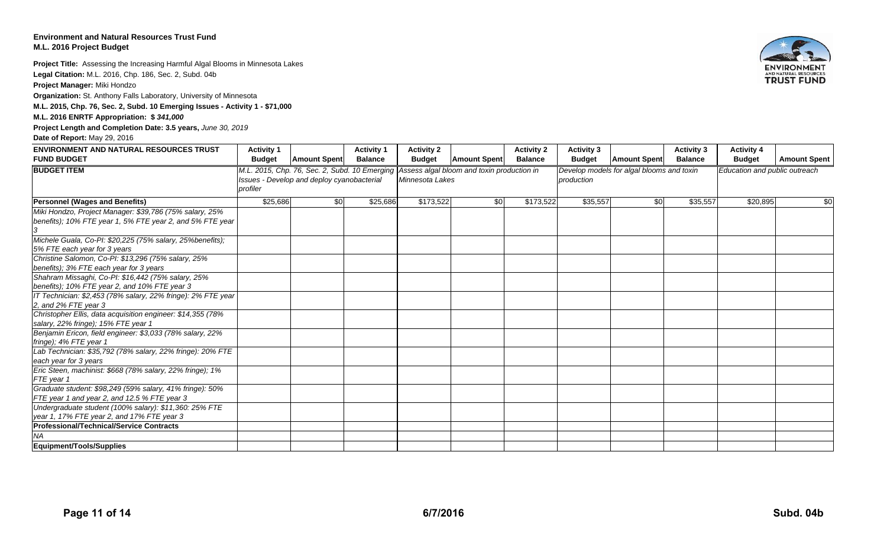#### **Environment and Natural Resources Trust FundM.L. 2016 Project Budget**

**Project Title:** Assessing the Increasing Harmful Algal Blooms in Minnesota Lakes **Legal Citation:** M.L. 2016, Chp. 186, Sec. 2, Subd. 04b **Project Manager:** Miki Hondzo

**Organization:** St. Anthony Falls Laboratory, University of Minnesota

**M.L. 2015, Chp. 76, Sec. 2, Subd. 10 Emerging Issues - Activity 1 - \$71,000**

**M.L. 2016 ENRTF Appropriation: \$** *341,000*

**Project Length and Completion Date: 3.5 years,** *June 30, 2019*

#### **Date of Report:** May 29, 2016



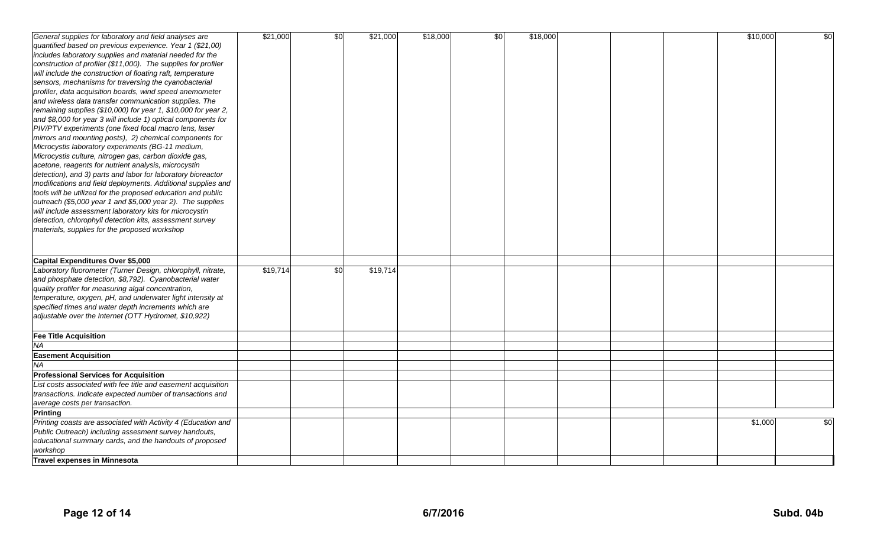| General supplies for laboratory and field analyses are                                                                              | \$21,000 | \$0 | \$21,000 | \$18,000 | $\frac{6}{3}$ | \$18,000 |  | \$10,000 | $\frac{6}{5}$   |
|-------------------------------------------------------------------------------------------------------------------------------------|----------|-----|----------|----------|---------------|----------|--|----------|-----------------|
| quantified based on previous experience. Year 1 (\$21,00)                                                                           |          |     |          |          |               |          |  |          |                 |
| includes laboratory supplies and material needed for the                                                                            |          |     |          |          |               |          |  |          |                 |
| construction of profiler (\$11,000). The supplies for profiler                                                                      |          |     |          |          |               |          |  |          |                 |
| will include the construction of floating raft, temperature                                                                         |          |     |          |          |               |          |  |          |                 |
| sensors, mechanisms for traversing the cyanobacterial                                                                               |          |     |          |          |               |          |  |          |                 |
|                                                                                                                                     |          |     |          |          |               |          |  |          |                 |
| profiler, data acquisition boards, wind speed anemometer<br>and wireless data transfer communication supplies. The                  |          |     |          |          |               |          |  |          |                 |
|                                                                                                                                     |          |     |          |          |               |          |  |          |                 |
| remaining supplies $(\$10,000)$ for year 1, $\$10,000$ for year 2,<br>and \$8,000 for year 3 will include 1) optical components for |          |     |          |          |               |          |  |          |                 |
| PIV/PTV experiments (one fixed focal macro lens, laser                                                                              |          |     |          |          |               |          |  |          |                 |
| mirrors and mounting posts), 2) chemical components for                                                                             |          |     |          |          |               |          |  |          |                 |
| Microcystis laboratory experiments (BG-11 medium,                                                                                   |          |     |          |          |               |          |  |          |                 |
| Microcystis culture, nitrogen gas, carbon dioxide gas,                                                                              |          |     |          |          |               |          |  |          |                 |
| acetone, reagents for nutrient analysis, microcystin                                                                                |          |     |          |          |               |          |  |          |                 |
| detection), and 3) parts and labor for laboratory bioreactor                                                                        |          |     |          |          |               |          |  |          |                 |
| modifications and field deployments. Additional supplies and                                                                        |          |     |          |          |               |          |  |          |                 |
| tools will be utilized for the proposed education and public                                                                        |          |     |          |          |               |          |  |          |                 |
| outreach (\$5,000 year 1 and \$5,000 year 2). The supplies                                                                          |          |     |          |          |               |          |  |          |                 |
| will include assessment laboratory kits for microcystin                                                                             |          |     |          |          |               |          |  |          |                 |
| detection, chlorophyll detection kits, assessment survey                                                                            |          |     |          |          |               |          |  |          |                 |
| materials, supplies for the proposed workshop                                                                                       |          |     |          |          |               |          |  |          |                 |
|                                                                                                                                     |          |     |          |          |               |          |  |          |                 |
|                                                                                                                                     |          |     |          |          |               |          |  |          |                 |
| Capital Expenditures Over \$5,000                                                                                                   |          |     |          |          |               |          |  |          |                 |
| Laboratory fluorometer (Turner Design, chlorophyll, nitrate,                                                                        | \$19,714 | \$0 | \$19,714 |          |               |          |  |          |                 |
| and phosphate detection, \$8,792). Cyanobacterial water                                                                             |          |     |          |          |               |          |  |          |                 |
| quality profiler for measuring algal concentration,                                                                                 |          |     |          |          |               |          |  |          |                 |
| temperature, oxygen, pH, and underwater light intensity at                                                                          |          |     |          |          |               |          |  |          |                 |
| specified times and water depth increments which are                                                                                |          |     |          |          |               |          |  |          |                 |
| adjustable over the Internet (OTT Hydromet, \$10,922)                                                                               |          |     |          |          |               |          |  |          |                 |
|                                                                                                                                     |          |     |          |          |               |          |  |          |                 |
| <b>Fee Title Acquisition</b>                                                                                                        |          |     |          |          |               |          |  |          |                 |
| NA                                                                                                                                  |          |     |          |          |               |          |  |          |                 |
| <b>Easement Acquisition</b>                                                                                                         |          |     |          |          |               |          |  |          |                 |
| <b>NA</b>                                                                                                                           |          |     |          |          |               |          |  |          |                 |
| <b>Professional Services for Acquisition</b>                                                                                        |          |     |          |          |               |          |  |          |                 |
| List costs associated with fee title and easement acquisition                                                                       |          |     |          |          |               |          |  |          |                 |
| transactions. Indicate expected number of transactions and                                                                          |          |     |          |          |               |          |  |          |                 |
| average costs per transaction.                                                                                                      |          |     |          |          |               |          |  |          |                 |
| <b>Printing</b>                                                                                                                     |          |     |          |          |               |          |  |          |                 |
| Printing coasts are associated with Activity 4 (Education and                                                                       |          |     |          |          |               |          |  | \$1,000  | $\overline{30}$ |
| Public Outreach) including assesment survey handouts,                                                                               |          |     |          |          |               |          |  |          |                 |
| educational summary cards, and the handouts of proposed                                                                             |          |     |          |          |               |          |  |          |                 |
| workshop                                                                                                                            |          |     |          |          |               |          |  |          |                 |
| <b>Travel expenses in Minnesota</b>                                                                                                 |          |     |          |          |               |          |  |          |                 |